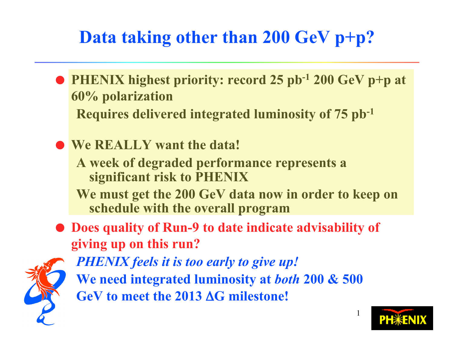## **Data taking other than 200 GeV p+p?**

 **PHENIX highest priority: record 25 pb-1 200 GeV p+p at 60% polarization**

**Requires delivered integrated luminosity of 75 pb-1**

- **We REALLY want the data! A week of degraded performance represents a significant risk to PHENIX**
	- **We must get the 200 GeV data now in order to keep on schedule with the overall program**
- **Does quality of Run-9 to date indicate advisability of giving up on this run?**



*PHENIX feels it is too early to give up!* **We need integrated luminosity at** *both* **200 & 500 GeV to meet the 2013** Δ**G milestone!**

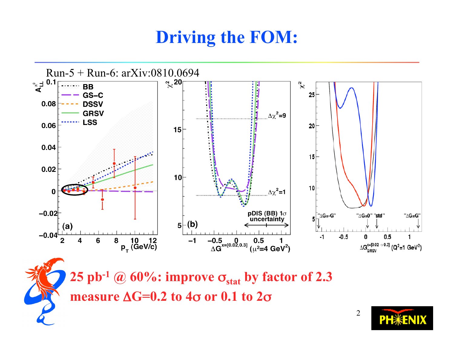### **Driving the FOM:**



**25 pb<sup>-1</sup> @ 60%: <b>improve**  $\sigma_{\text{stat}}$  by factor of 2.3 **measure** Δ**G=0.2 to 4**σ **or 0.1 to 2**σ

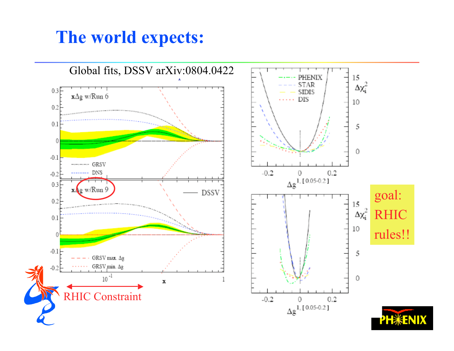### **The world expects:**

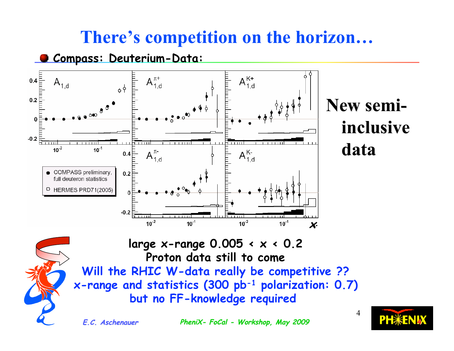### **There's competition on the horizon…**





## **New semi- New semiinclusive inclusive data**



**large x-range 0.005 < x < 0.2 Proton data still to come Will the RHIC W-data really be competitive ?? x-range and statistics (300 pb-1 polarization: 0.7) but no FF-knowledge required** 

**E.C. Aschenauer E.C. Aschenauer PheniX- FoCal PheniX- FoCal - Workshop, May 2009 4**

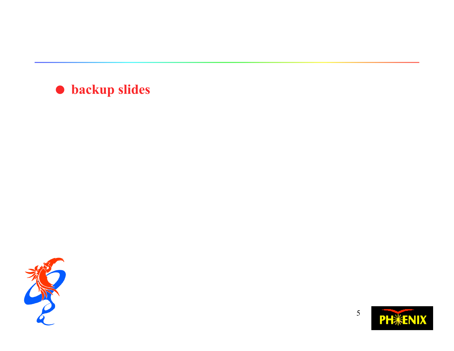#### **backup slides**



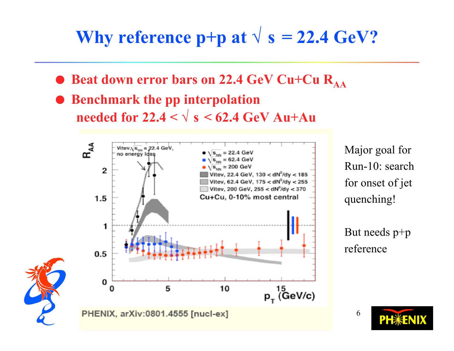## **Why reference p+p at**  $\sqrt{s} = 22.4 \text{ GeV}$ ?

- **Beat down error bars on 22.4 GeV Cu+Cu R<sub>AA</sub>**
- $\bullet$  Benchmark the pp interpolation **needed for**  $22.4 < \sqrt{s} < 62.4$  GeV Au+Au



Major goal for Run-10: search for onset of jet quenching!



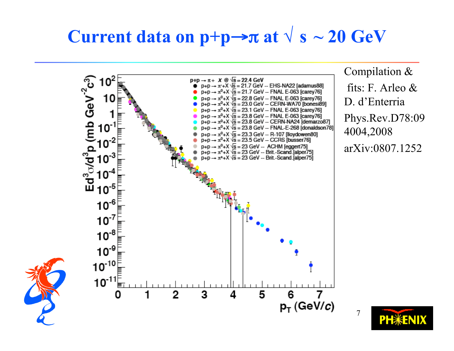### **Current data on**  $p+p \rightarrow \pi$  **at**  $\sqrt{s} \sim 20$  **GeV**



Compilation & fits: F. Arleo & D. d'Enterria Phys.Rev.D78:09 4004,2008 arXiv:0807.1252

**PH**\*ENIX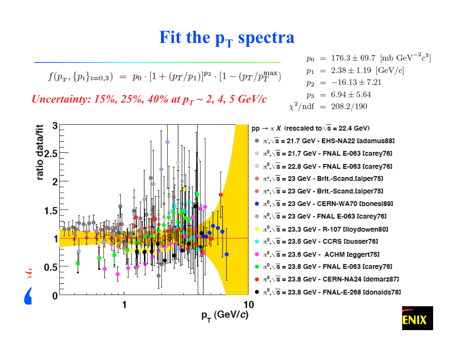### **Fit the**  $p_T$  **spectra**

$$
f(p_T, \{p_i\}_{i=0,3}) = p_0 \cdot [1 + (p_T/p_1)]^{p_2} \cdot [1 - (p_T/p_T^{\max})]
$$

*Uncertainty: 15%, 25%, 40% at*  $p_T \sim 2$ *, 4, 5 GeV/c* 

ratio data/fit<br>ບໍ່ກໍ່ມີ

 $1.5$ 

 $0.5$ 



 $p_0 = 176.3 \pm 69.7$  [mb GeV<sup>-2</sup>c<sup>3</sup>]

- $\sqrt[n]{s}$  = 23.3 GeV R-107 Illoydowen801
- $\sqrt{\overline{s}}$  = 23.5 GeV CCRS [busser76]
- $\sqrt{\pi^0}$ ,  $\sqrt{s}$  = 23.6 GeV ACHM leggert751
- $\bullet \pi^0, \sqrt{s} = 23.8$  GeV FNAL E-063 [carey76]
- $\bullet \pi^0, \sqrt{s} = 23.8$  GeV CERN-NA24 Idemarz871
- $\bullet$   $\pi^0, \sqrt{\mathbf{s}}$  = 23.8 GeV FNAL-E-268 Idonalds78]

10  $p_{\tau}$  (GeV/c)

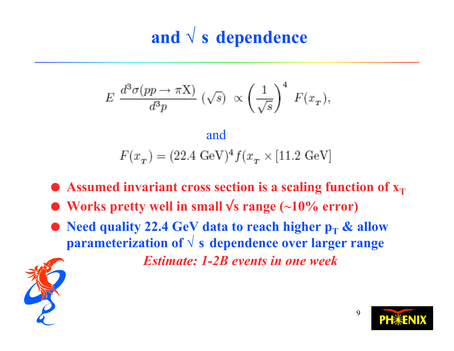# **and √ s dependence**

$$
E \frac{d^3 \sigma(pp \to \pi \mathbf{X})}{d^3 p} (\sqrt{s}) \propto \left(\frac{1}{\sqrt{s}}\right)^4 F(x_T),
$$

$$
\label{eq:and} \text{and}
$$
  

$$
F(x_{_T}) = (22.4 \text{ GeV})^4 f(x_{_T} \times [11.2 \text{ GeV}]
$$

- $\bullet$  Assumed invariant cross section is a scaling function of  $x_T$
- **Works pretty well in small** √**s range (~10% error)**
- **Need quality 22.4 GeV data to reach higher**  $p_T \&$  **allow parameterization of √ s dependence over larger range**

*Estimate: 1-2B events in one week*